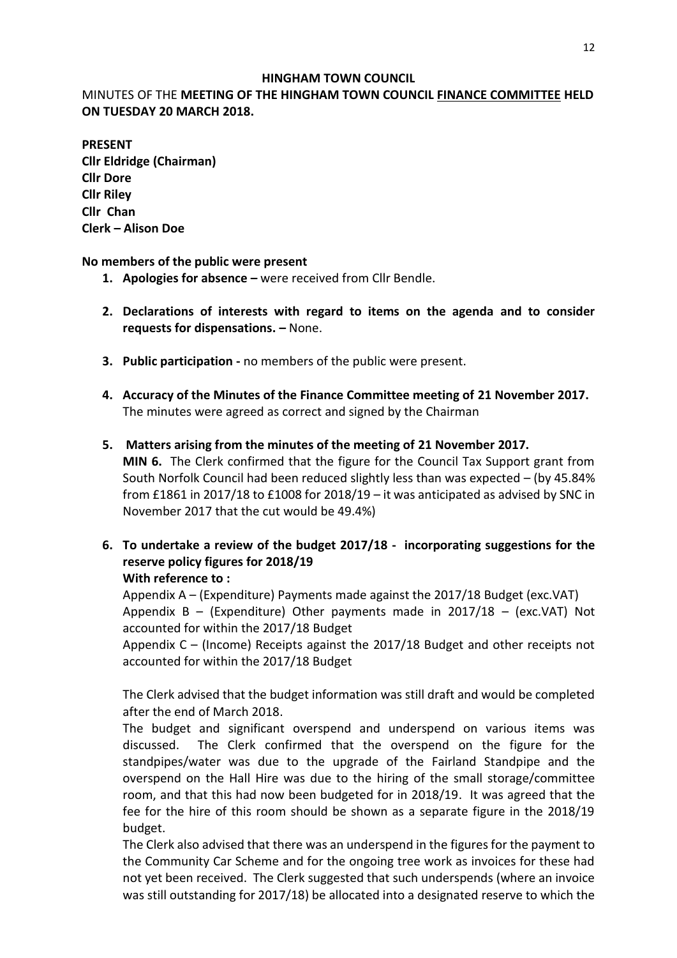#### **HINGHAM TOWN COUNCIL**

## MINUTES OF THE **MEETING OF THE HINGHAM TOWN COUNCIL FINANCE COMMITTEE HELD ON TUESDAY 20 MARCH 2018.**

## **PRESENT**

**Cllr Eldridge (Chairman) Cllr Dore Cllr Riley Cllr Chan Clerk – Alison Doe**

### **No members of the public were present**

- **1. Apologies for absence –** were received from Cllr Bendle.
- **2. Declarations of interests with regard to items on the agenda and to consider requests for dispensations. –** None.
- **3. Public participation -** no members of the public were present.
- **4. Accuracy of the Minutes of the Finance Committee meeting of 21 November 2017.** The minutes were agreed as correct and signed by the Chairman

## **5. Matters arising from the minutes of the meeting of 21 November 2017. MIN 6.** The Clerk confirmed that the figure for the Council Tax Support grant from South Norfolk Council had been reduced slightly less than was expected – (by 45.84% from £1861 in 2017/18 to £1008 for 2018/19 – it was anticipated as advised by SNC in November 2017 that the cut would be 49.4%)

**6. To undertake a review of the budget 2017/18 - incorporating suggestions for the reserve policy figures for 2018/19 With reference to :**

Appendix A – (Expenditure) Payments made against the 2017/18 Budget (exc.VAT) Appendix B – (Expenditure) Other payments made in  $2017/18$  – (exc.VAT) Not accounted for within the 2017/18 Budget

Appendix C – (Income) Receipts against the 2017/18 Budget and other receipts not accounted for within the 2017/18 Budget

The Clerk advised that the budget information was still draft and would be completed after the end of March 2018.

The budget and significant overspend and underspend on various items was discussed. The Clerk confirmed that the overspend on the figure for the standpipes/water was due to the upgrade of the Fairland Standpipe and the overspend on the Hall Hire was due to the hiring of the small storage/committee room, and that this had now been budgeted for in 2018/19. It was agreed that the fee for the hire of this room should be shown as a separate figure in the 2018/19 budget.

The Clerk also advised that there was an underspend in the figures for the payment to the Community Car Scheme and for the ongoing tree work as invoices for these had not yet been received. The Clerk suggested that such underspends (where an invoice was still outstanding for 2017/18) be allocated into a designated reserve to which the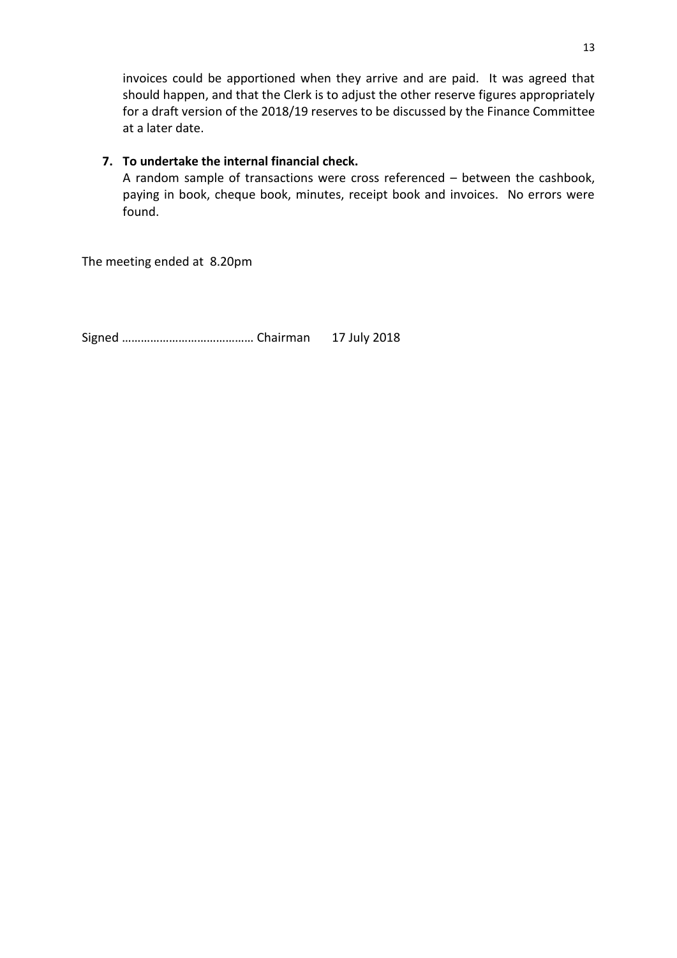invoices could be apportioned when they arrive and are paid. It was agreed that should happen, and that the Clerk is to adjust the other reserve figures appropriately for a draft version of the 2018/19 reserves to be discussed by the Finance Committee at a later date.

## **7. To undertake the internal financial check.**

A random sample of transactions were cross referenced – between the cashbook, paying in book, cheque book, minutes, receipt book and invoices. No errors were found.

The meeting ended at 8.20pm

Signed …………………………………… Chairman 17 July 2018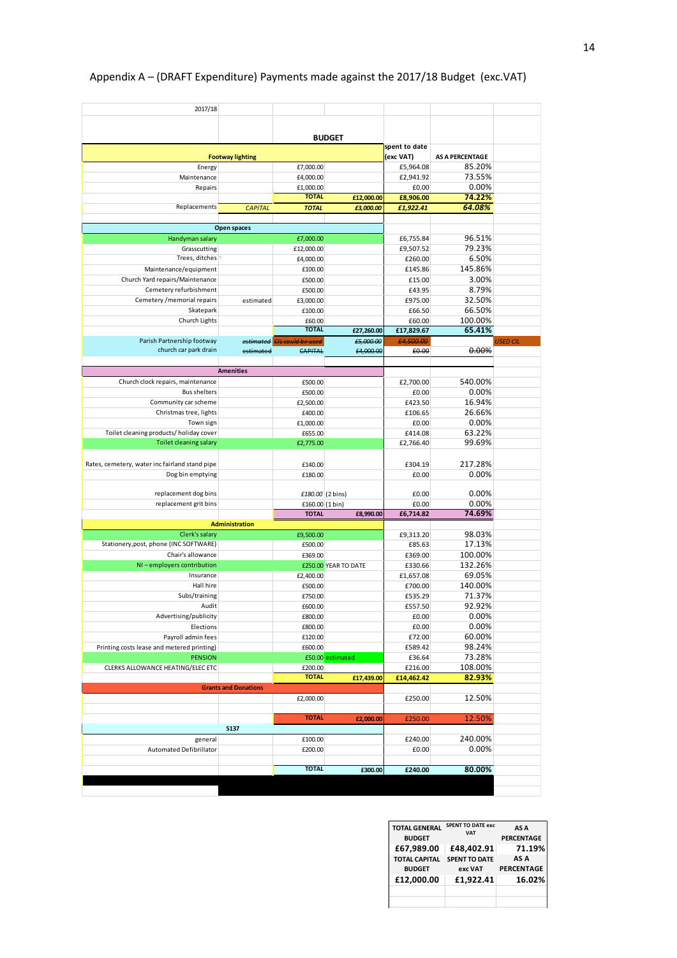| 2017/18<br>Energy<br>Maintenance                         |                             |                          | <b>BUDGET</b>        | spent to date          |                        |                 |  |
|----------------------------------------------------------|-----------------------------|--------------------------|----------------------|------------------------|------------------------|-----------------|--|
|                                                          |                             |                          |                      |                        |                        |                 |  |
|                                                          |                             |                          |                      |                        |                        |                 |  |
|                                                          |                             |                          |                      |                        |                        |                 |  |
|                                                          |                             |                          |                      |                        |                        |                 |  |
|                                                          | <b>Footway lighting</b>     |                          |                      |                        | <b>AS A PERCENTAGE</b> |                 |  |
|                                                          |                             | £7,000.00                |                      | (exc VAT)<br>£5,964.08 | 85.20%                 |                 |  |
|                                                          |                             | £4,000.00                |                      | £2,941.92              | 73.55%                 |                 |  |
| Repairs                                                  |                             | £1,000.00                |                      | £0.00                  | 0.00%                  |                 |  |
|                                                          |                             | <b>TOTAL</b>             | £12,000.00           | £8,906.00              | 74.22%                 |                 |  |
| Replacements                                             | <b>CAPITAL</b>              | <b>TOTAL</b>             | £3,000.00            | £1,922.41              | 64.08%                 |                 |  |
|                                                          |                             |                          |                      |                        |                        |                 |  |
|                                                          | Open spaces                 |                          |                      |                        |                        |                 |  |
| Handyman salary                                          |                             | £7,000.00                |                      | £6,755.84              | 96.51%                 |                 |  |
| Grasscutting                                             |                             |                          |                      | £9,507.52              | 79.23%                 |                 |  |
| Trees, ditches                                           |                             | £12,000.00               |                      |                        | 6.50%                  |                 |  |
|                                                          |                             | £4,000.00                |                      | £260.00                |                        |                 |  |
| Maintenance/equipment                                    |                             | £100.00                  |                      | £145.86                | 145.86%                |                 |  |
| Church Yard repairs/Maintenance                          |                             | £500.00                  |                      | £15.00                 | 3.00%                  |                 |  |
| Cemetery refurbishment                                   |                             | £500.00                  |                      | £43.95                 | 8.79%                  |                 |  |
| Cemetery / memorial repairs                              | estimated                   | £3,000.00                |                      | £975.00                | 32.50%                 |                 |  |
| Skatepark                                                |                             | £100.00                  |                      | £66.50                 | 66.50%                 |                 |  |
| Church Lights                                            |                             | £60.00                   |                      | £60.00                 | 100.00%                |                 |  |
|                                                          |                             | <b>TOTAL</b>             | £27,260.00           | £17,829.67             | 65.41%                 |                 |  |
| Parish Partnership footway                               | estimated                   | <b>CIL could be used</b> | £5,000.00            | £4,500.00              |                        | <b>USED CIL</b> |  |
| church car park drain                                    | estimated                   | CAPITAL                  | £4,000.00            | £0.00                  | 0.00%                  |                 |  |
|                                                          |                             |                          |                      |                        |                        |                 |  |
|                                                          | <b>Amenities</b>            |                          |                      |                        |                        |                 |  |
| Church clock repairs, maintenance                        |                             | £500.00                  |                      | £2,700.00              | 540.00%                |                 |  |
| <b>Bus shelters</b>                                      |                             | £500.00                  |                      | £0.00                  | 0.00%                  |                 |  |
| Community car scheme                                     |                             | £2,500.00                |                      | £423.50                | 16.94%                 |                 |  |
| Christmas tree, lights                                   |                             | £400.00                  |                      | £106.65                | 26.66%                 |                 |  |
| Town sign                                                |                             | £1,000.00                |                      | £0.00                  | 0.00%                  |                 |  |
| Toilet cleaning products/holiday cover                   |                             | £655.00                  |                      | £414.08                | 63.22%                 |                 |  |
| Toilet cleaning salary                                   |                             | £2,775.00                |                      | £2,766.40              | 99.69%                 |                 |  |
|                                                          |                             |                          |                      |                        |                        |                 |  |
| Rates, cemetery, water inc fairland stand pipe           |                             | £140.00                  |                      | £304.19                | 217.28%                |                 |  |
| Dog bin emptying                                         |                             |                          |                      | £0.00                  |                        |                 |  |
|                                                          |                             | £180.00                  |                      |                        | 0.00%                  |                 |  |
| replacement dog bins                                     |                             | £180.00 (2 bins)         |                      | £0.00                  | 0.00%                  |                 |  |
| replacement grit bins                                    |                             | £160.00 (1 bin)          |                      | £0.00                  | 0.00%                  |                 |  |
|                                                          |                             | <b>TOTAL</b>             | £8,990.00            | £6,714.82              | 74.69%                 |                 |  |
|                                                          | <b>Administration</b>       |                          |                      |                        |                        |                 |  |
|                                                          |                             |                          |                      |                        |                        |                 |  |
| Clerk's salary<br>Stationery, post, phone (INC SOFTWARE) |                             | £9,500.00                |                      | £9,313.20              | 98.03%                 |                 |  |
|                                                          |                             | £500.00                  |                      | £85.63                 | 17.13%                 |                 |  |
| Chair's allowance                                        |                             | £369.00                  |                      | £369.00                | 100.00%                |                 |  |
| NI-employers contribution                                |                             |                          | £250.00 YEAR TO DATE | £330.66                | 132.26%                |                 |  |
| Insurance                                                |                             | £2,400.00                |                      | £1,657.08              | 69.05%                 |                 |  |
| Hall hire                                                |                             | £500.00                  |                      | £700.00                | 140.00%                |                 |  |
| Subs/training                                            |                             | £750.00                  |                      | £535.29                | 71.37%                 |                 |  |
| Audit                                                    |                             | £600.00                  |                      | £557.50                | 92.92%                 |                 |  |
| Advertising/publicity                                    |                             | £800.00                  |                      | £0.00                  | 0.00%                  |                 |  |
| Elections                                                |                             | £800.00                  |                      | £0.00                  | 0.00%                  |                 |  |
| Payroll admin fees                                       |                             | £120.00                  |                      | £72.00                 | 60.00%                 |                 |  |
| Printing costs lease and metered printing)               |                             | £600.00                  |                      | £589.42                | 98.24%                 |                 |  |
| <b>PENSION</b>                                           |                             |                          | £50.00 estimated     | £36.64                 | 73.28%                 |                 |  |
| CLERKS ALLOWANCE HEATING/ELEC ETC                        |                             | £200.00                  |                      | £216.00                | 108.00%                |                 |  |
|                                                          |                             | <b>TOTAL</b>             | £17,439.00           | £14,462.42             | 82.93%                 |                 |  |
|                                                          | <b>Grants and Donations</b> |                          |                      |                        |                        |                 |  |
|                                                          |                             | £2,000.00                |                      | £250.00                | 12.50%                 |                 |  |
|                                                          |                             |                          |                      |                        |                        |                 |  |
|                                                          |                             | <b>TOTAL</b>             | £2,000.00            | £250.00                | 12.50%                 |                 |  |
|                                                          | <b>S137</b>                 |                          |                      |                        |                        |                 |  |
|                                                          | £100.00                     |                          | £240.00              | 240.00%                |                        |                 |  |
|                                                          |                             |                          |                      |                        |                        |                 |  |
| general<br><b>Automated Defibrillator</b>                |                             |                          |                      |                        |                        |                 |  |
|                                                          |                             | £200.00                  |                      | £0.00                  | 0.00%                  |                 |  |
|                                                          |                             | <b>TOTAL</b>             | £300.00              | £240.00                | 80.00%                 |                 |  |

# Appendix A – (DRAFT Expenditure) Payments made against the 2017/18 Budget (exc.VAT)

| <b>TOTAL GENERAL</b><br><b>BUDGET</b> | <b>SPENT TO DATE exc.</b><br><b>VAT</b> | AS A<br><b>PERCENTAGE</b> |
|---------------------------------------|-----------------------------------------|---------------------------|
| £67,989.00                            | £48,402.91                              | 71.19%                    |
| <b>TOTAL CAPITAL</b>                  | <b>SPENT TO DATE</b>                    | AS A                      |
| <b>BUDGET</b>                         | exc VAT                                 | <b>PERCENTAGE</b>         |
| £12.000.00                            | £1.922.41                               | 16.02%                    |
|                                       |                                         |                           |
|                                       |                                         |                           |